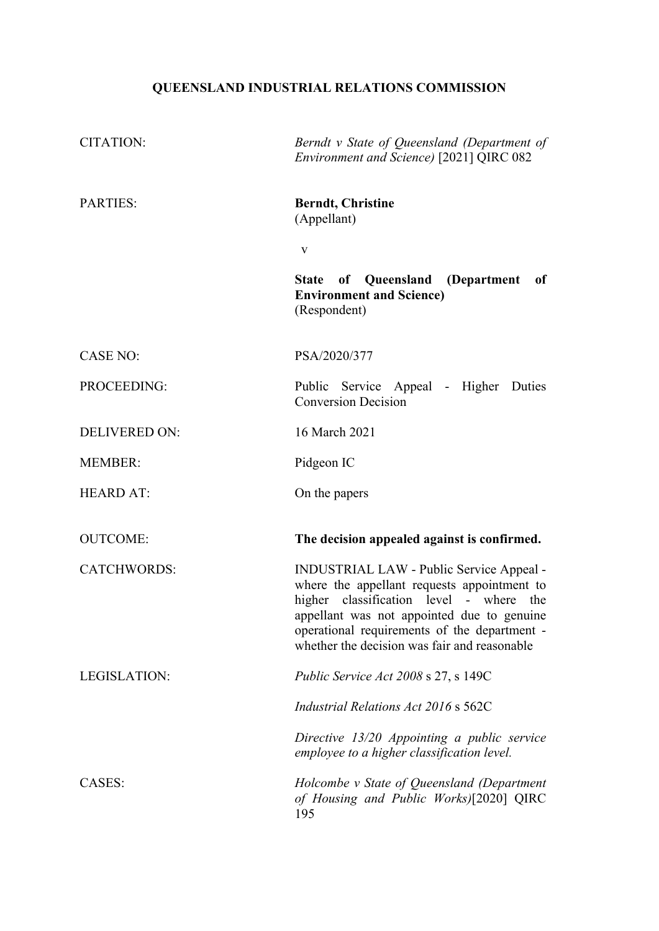# **QUEENSLAND INDUSTRIAL RELATIONS COMMISSION**

| <b>CITATION:</b>     | Berndt v State of Queensland (Department of<br>Environment and Science) [2021] QIRC 082                                                                                                                                                                                          |
|----------------------|----------------------------------------------------------------------------------------------------------------------------------------------------------------------------------------------------------------------------------------------------------------------------------|
| <b>PARTIES:</b>      | <b>Berndt, Christine</b><br>(Appellant)                                                                                                                                                                                                                                          |
|                      | V                                                                                                                                                                                                                                                                                |
|                      | State of Queensland<br>(Department<br>of<br><b>Environment and Science)</b><br>(Respondent)                                                                                                                                                                                      |
| <b>CASE NO:</b>      | PSA/2020/377                                                                                                                                                                                                                                                                     |
| PROCEEDING:          | Public Service Appeal - Higher Duties<br><b>Conversion Decision</b>                                                                                                                                                                                                              |
| <b>DELIVERED ON:</b> | 16 March 2021                                                                                                                                                                                                                                                                    |
| <b>MEMBER:</b>       | Pidgeon IC                                                                                                                                                                                                                                                                       |
| <b>HEARD AT:</b>     | On the papers                                                                                                                                                                                                                                                                    |
| <b>OUTCOME:</b>      | The decision appealed against is confirmed.                                                                                                                                                                                                                                      |
| <b>CATCHWORDS:</b>   | INDUSTRIAL LAW - Public Service Appeal -<br>where the appellant requests appointment to<br>higher classification level - where the<br>appellant was not appointed due to genuine<br>operational requirements of the department -<br>whether the decision was fair and reasonable |
| LEGISLATION:         | <i>Public Service Act 2008</i> s 27, s 149C                                                                                                                                                                                                                                      |
|                      | Industrial Relations Act 2016 s 562C                                                                                                                                                                                                                                             |
|                      | Directive 13/20 Appointing a public service<br>employee to a higher classification level.                                                                                                                                                                                        |
| CASES:               | Holcombe v State of Queensland (Department<br>of Housing and Public Works)[2020] QIRC<br>195                                                                                                                                                                                     |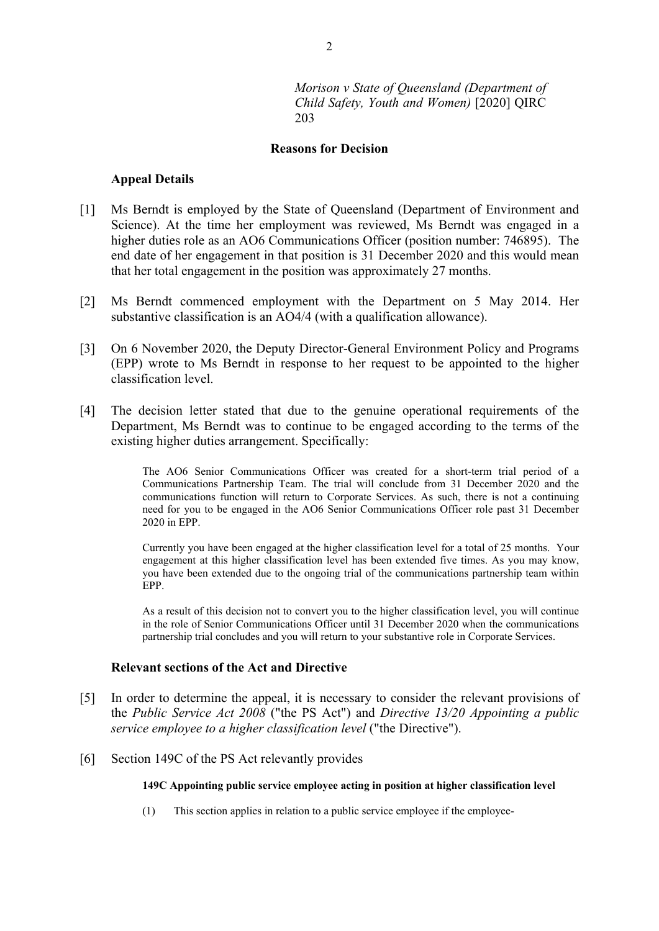*Morison v State of Queensland (Department of Child Safety, Youth and Women)* [2020] QIRC 203

#### **Reasons for Decision**

#### **Appeal Details**

- [1] Ms Berndt is employed by the State of Queensland (Department of Environment and Science). At the time her employment was reviewed, Ms Berndt was engaged in a higher duties role as an AO6 Communications Officer (position number: 746895). The end date of her engagement in that position is 31 December 2020 and this would mean that her total engagement in the position was approximately 27 months.
- [2] Ms Berndt commenced employment with the Department on 5 May 2014. Her substantive classification is an AO4/4 (with a qualification allowance).
- [3] On 6 November 2020, the Deputy Director-General Environment Policy and Programs (EPP) wrote to Ms Berndt in response to her request to be appointed to the higher classification level.
- [4] The decision letter stated that due to the genuine operational requirements of the Department, Ms Berndt was to continue to be engaged according to the terms of the existing higher duties arrangement. Specifically:

The AO6 Senior Communications Officer was created for a short-term trial period of a Communications Partnership Team. The trial will conclude from 31 December 2020 and the communications function will return to Corporate Services. As such, there is not a continuing need for you to be engaged in the AO6 Senior Communications Officer role past 31 December 2020 in EPP.

Currently you have been engaged at the higher classification level for a total of 25 months. Your engagement at this higher classification level has been extended five times. As you may know, you have been extended due to the ongoing trial of the communications partnership team within EPP.

As a result of this decision not to convert you to the higher classification level, you will continue in the role of Senior Communications Officer until 31 December 2020 when the communications partnership trial concludes and you will return to your substantive role in Corporate Services.

#### **Relevant sections of the Act and Directive**

- [5] In order to determine the appeal, it is necessary to consider the relevant provisions of the *Public Service Act 2008* ("the PS Act") and *Directive 13/20 Appointing a public service employee to a higher classification level* ("the Directive").
- [6] Section 149C of the PS Act relevantly provides

#### **149C Appointing public service employee acting in position at higher classification level**

(1) This section applies in relation to a public service employee if the employee-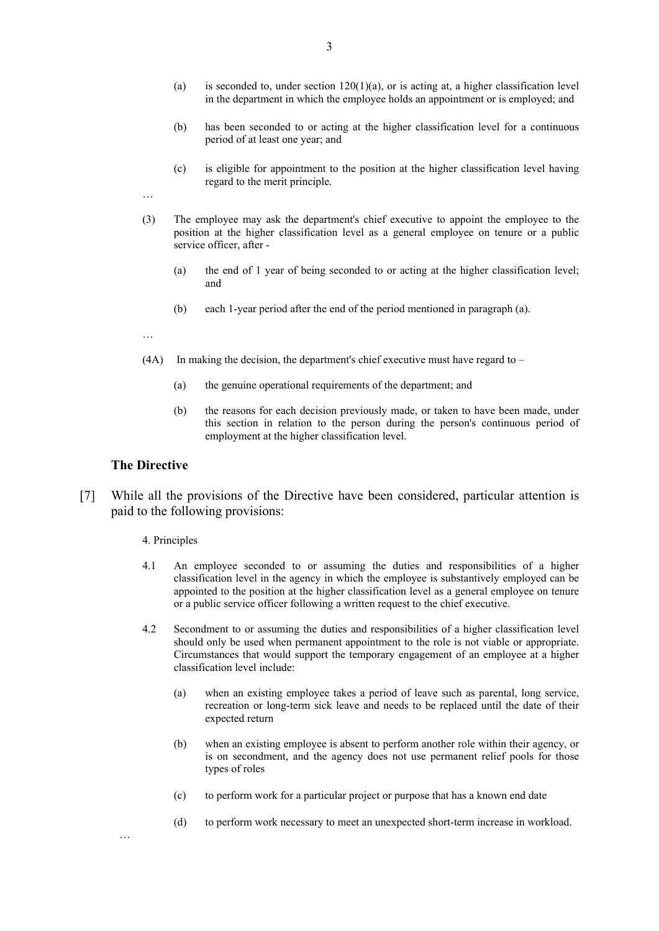- (a) is seconded to, under section  $120(1)(a)$ , or is acting at, a higher classification level in the department in which the employee holds an appointment or is employed; and
- (b) has been seconded to or acting at the higher classification level for a continuous period of at least one year; and
- (c) is eligible for appointment to the position at the higher classification level having regard to the merit principle.
- …
- (3) The employee may ask the department's chief executive to appoint the employee to the position at the higher classification level as a general employee on tenure or a public service officer, after -
	- (a) the end of 1 year of being seconded to or acting at the higher classification level; and
	- (b) each 1-year period after the end of the period mentioned in paragraph (a).
- …
- $(4A)$  In making the decision, the department's chief executive must have regard to
	- (a) the genuine operational requirements of the department; and
	- (b) the reasons for each decision previously made, or taken to have been made, under this section in relation to the person during the person's continuous period of employment at the higher classification level.

### **The Directive**

…

[7] While all the provisions of the Directive have been considered, particular attention is paid to the following provisions:

#### 4. Principles

- 4.1 An employee seconded to or assuming the duties and responsibilities of a higher classification level in the agency in which the employee is substantively employed can be appointed to the position at the higher classification level as a general employee on tenure or a public service officer following a written request to the chief executive.
- 4.2 Secondment to or assuming the duties and responsibilities of a higher classification level should only be used when permanent appointment to the role is not viable or appropriate. Circumstances that would support the temporary engagement of an employee at a higher classification level include:
	- (a) when an existing employee takes a period of leave such as parental, long service, recreation or long-term sick leave and needs to be replaced until the date of their expected return
	- (b) when an existing employee is absent to perform another role within their agency, or is on secondment, and the agency does not use permanent relief pools for those types of roles
	- (c) to perform work for a particular project or purpose that has a known end date
	- (d) to perform work necessary to meet an unexpected short-term increase in workload.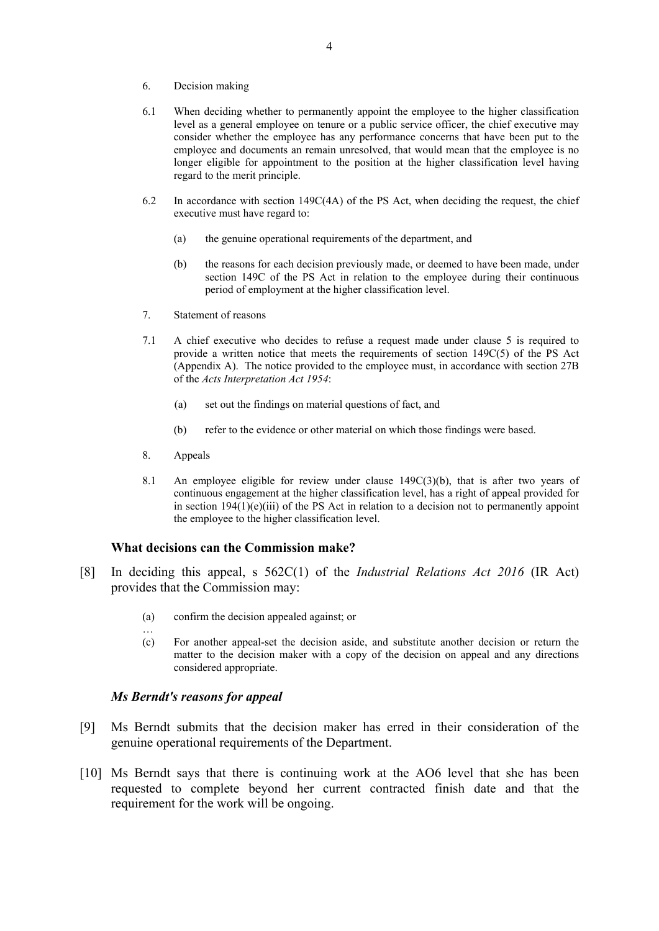- 6. Decision making
- 6.1 When deciding whether to permanently appoint the employee to the higher classification level as a general employee on tenure or a public service officer, the chief executive may consider whether the employee has any performance concerns that have been put to the employee and documents an remain unresolved, that would mean that the employee is no longer eligible for appointment to the position at the higher classification level having regard to the merit principle.
- 6.2 In accordance with section 149C(4A) of the PS Act, when deciding the request, the chief executive must have regard to:
	- (a) the genuine operational requirements of the department, and
	- (b) the reasons for each decision previously made, or deemed to have been made, under section 149C of the PS Act in relation to the employee during their continuous period of employment at the higher classification level.
- 7. Statement of reasons
- 7.1 A chief executive who decides to refuse a request made under clause 5 is required to provide a written notice that meets the requirements of section 149C(5) of the PS Act (Appendix A). The notice provided to the employee must, in accordance with section 27B of the *Acts Interpretation Act 1954*:
	- (a) set out the findings on material questions of fact, and
	- (b) refer to the evidence or other material on which those findings were based.
- 8. Appeals

…

8.1 An employee eligible for review under clause 149C(3)(b), that is after two years of continuous engagement at the higher classification level, has a right of appeal provided for in section  $194(1)(e)(iii)$  of the PS Act in relation to a decision not to permanently appoint the employee to the higher classification level.

#### **What decisions can the Commission make?**

- [8] In deciding this appeal, s 562C(1) of the *Industrial Relations Act 2016* (IR Act) provides that the Commission may:
	- (a) confirm the decision appealed against; or
	- (c) For another appeal-set the decision aside, and substitute another decision or return the matter to the decision maker with a copy of the decision on appeal and any directions considered appropriate.

## *Ms Berndt's reasons for appeal*

- [9] Ms Berndt submits that the decision maker has erred in their consideration of the genuine operational requirements of the Department.
- [10] Ms Berndt says that there is continuing work at the AO6 level that she has been requested to complete beyond her current contracted finish date and that the requirement for the work will be ongoing.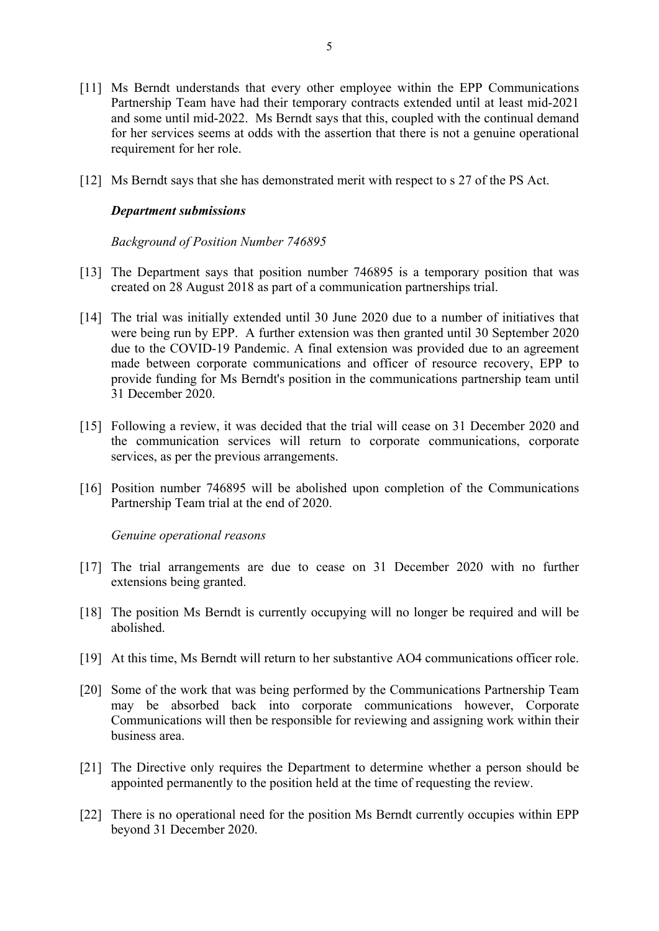- [11] Ms Berndt understands that every other employee within the EPP Communications Partnership Team have had their temporary contracts extended until at least mid-2021 and some until mid-2022. Ms Berndt says that this, coupled with the continual demand for her services seems at odds with the assertion that there is not a genuine operational requirement for her role.
- [12] Ms Berndt says that she has demonstrated merit with respect to s 27 of the PS Act.

## *Department submissions*

*Background of Position Number 746895*

- [13] The Department says that position number 746895 is a temporary position that was created on 28 August 2018 as part of a communication partnerships trial.
- [14] The trial was initially extended until 30 June 2020 due to a number of initiatives that were being run by EPP. A further extension was then granted until 30 September 2020 due to the COVID-19 Pandemic. A final extension was provided due to an agreement made between corporate communications and officer of resource recovery, EPP to provide funding for Ms Berndt's position in the communications partnership team until 31 December 2020.
- [15] Following a review, it was decided that the trial will cease on 31 December 2020 and the communication services will return to corporate communications, corporate services, as per the previous arrangements.
- [16] Position number 746895 will be abolished upon completion of the Communications Partnership Team trial at the end of 2020.

*Genuine operational reasons* 

- [17] The trial arrangements are due to cease on 31 December 2020 with no further extensions being granted.
- [18] The position Ms Berndt is currently occupying will no longer be required and will be abolished.
- [19] At this time, Ms Berndt will return to her substantive AO4 communications officer role.
- [20] Some of the work that was being performed by the Communications Partnership Team may be absorbed back into corporate communications however, Corporate Communications will then be responsible for reviewing and assigning work within their business area.
- [21] The Directive only requires the Department to determine whether a person should be appointed permanently to the position held at the time of requesting the review.
- [22] There is no operational need for the position Ms Berndt currently occupies within EPP beyond 31 December 2020.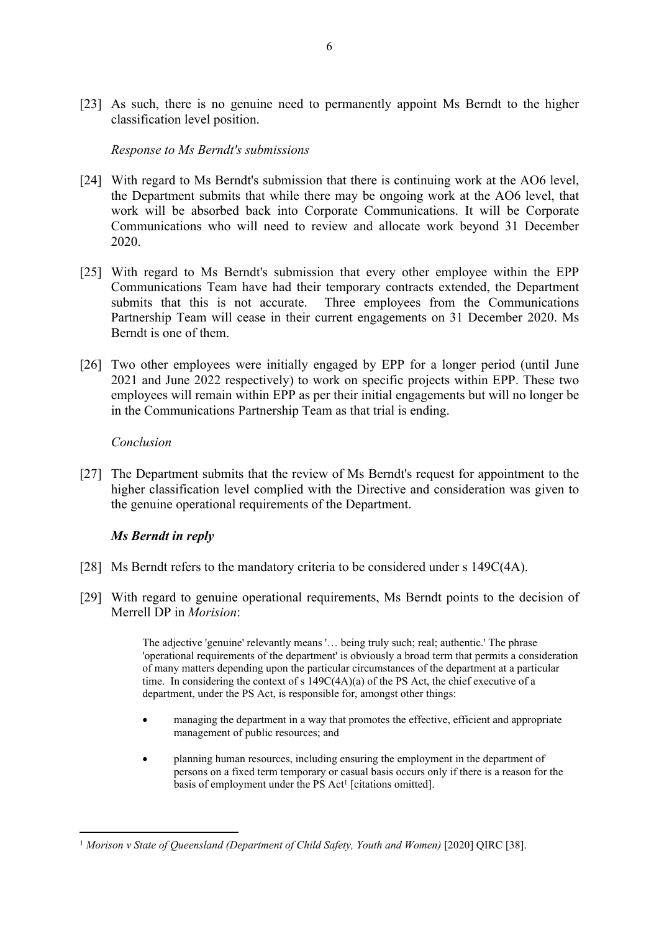[23] As such, there is no genuine need to permanently appoint Ms Berndt to the higher classification level position.

# *Response to Ms Berndt's submissions*

- [24] With regard to Ms Berndt's submission that there is continuing work at the AO6 level, the Department submits that while there may be ongoing work at the AO6 level, that work will be absorbed back into Corporate Communications. It will be Corporate Communications who will need to review and allocate work beyond 31 December 2020.
- [25] With regard to Ms Berndt's submission that every other employee within the EPP Communications Team have had their temporary contracts extended, the Department submits that this is not accurate. Three employees from the Communications Partnership Team will cease in their current engagements on 31 December 2020. Ms Berndt is one of them.
- [26] Two other employees were initially engaged by EPP for a longer period (until June 2021 and June 2022 respectively) to work on specific projects within EPP. These two employees will remain within EPP as per their initial engagements but will no longer be in the Communications Partnership Team as that trial is ending.

## *Conclusion*

[27] The Department submits that the review of Ms Berndt's request for appointment to the higher classification level complied with the Directive and consideration was given to the genuine operational requirements of the Department.

# *Ms Berndt in reply*

- [28] Ms Berndt refers to the mandatory criteria to be considered under s 149C(4A).
- [29] With regard to genuine operational requirements, Ms Berndt points to the decision of Merrell DP in *Morision*:

The adjective 'genuine' relevantly means '… being truly such; real; authentic.' The phrase 'operational requirements of the department' is obviously a broad term that permits a consideration of many matters depending upon the particular circumstances of the department at a particular time. In considering the context of s  $149C(4A)(a)$  of the PS Act, the chief executive of a department, under the PS Act, is responsible for, amongst other things:

- managing the department in a way that promotes the effective, efficient and appropriate management of public resources; and
- planning human resources, including ensuring the employment in the department of persons on a fixed term temporary or casual basis occurs only if there is a reason for the basis of employment under the PS Act<sup>1</sup> [citations omitted].

<sup>&</sup>lt;sup>1</sup> Morison v State of Queensland (Department of Child Safety, Youth and Women) [2020] QIRC [38].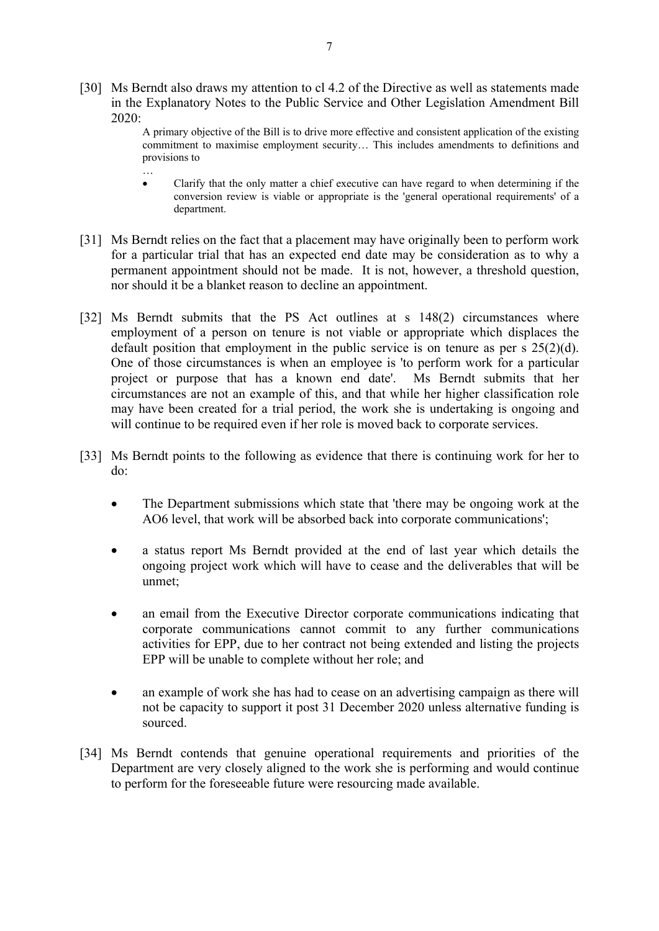- [30] Ms Berndt also draws my attention to cl 4.2 of the Directive as well as statements made in the Explanatory Notes to the Public Service and Other Legislation Amendment Bill 2020:
	- A primary objective of the Bill is to drive more effective and consistent application of the existing commitment to maximise employment security… This includes amendments to definitions and provisions to
	- … Clarify that the only matter a chief executive can have regard to when determining if the conversion review is viable or appropriate is the 'general operational requirements' of a department.
- [31] Ms Berndt relies on the fact that a placement may have originally been to perform work for a particular trial that has an expected end date may be consideration as to why a permanent appointment should not be made. It is not, however, a threshold question, nor should it be a blanket reason to decline an appointment.
- [32] Ms Berndt submits that the PS Act outlines at s 148(2) circumstances where employment of a person on tenure is not viable or appropriate which displaces the default position that employment in the public service is on tenure as per s 25(2)(d). One of those circumstances is when an employee is 'to perform work for a particular project or purpose that has a known end date'. Ms Berndt submits that her circumstances are not an example of this, and that while her higher classification role may have been created for a trial period, the work she is undertaking is ongoing and will continue to be required even if her role is moved back to corporate services.
- [33] Ms Berndt points to the following as evidence that there is continuing work for her to do:
	- The Department submissions which state that 'there may be ongoing work at the AO6 level, that work will be absorbed back into corporate communications';
	- a status report Ms Berndt provided at the end of last year which details the ongoing project work which will have to cease and the deliverables that will be unmet;
	- an email from the Executive Director corporate communications indicating that corporate communications cannot commit to any further communications activities for EPP, due to her contract not being extended and listing the projects EPP will be unable to complete without her role; and
	- an example of work she has had to cease on an advertising campaign as there will not be capacity to support it post 31 December 2020 unless alternative funding is sourced.
- [34] Ms Berndt contends that genuine operational requirements and priorities of the Department are very closely aligned to the work she is performing and would continue to perform for the foreseeable future were resourcing made available.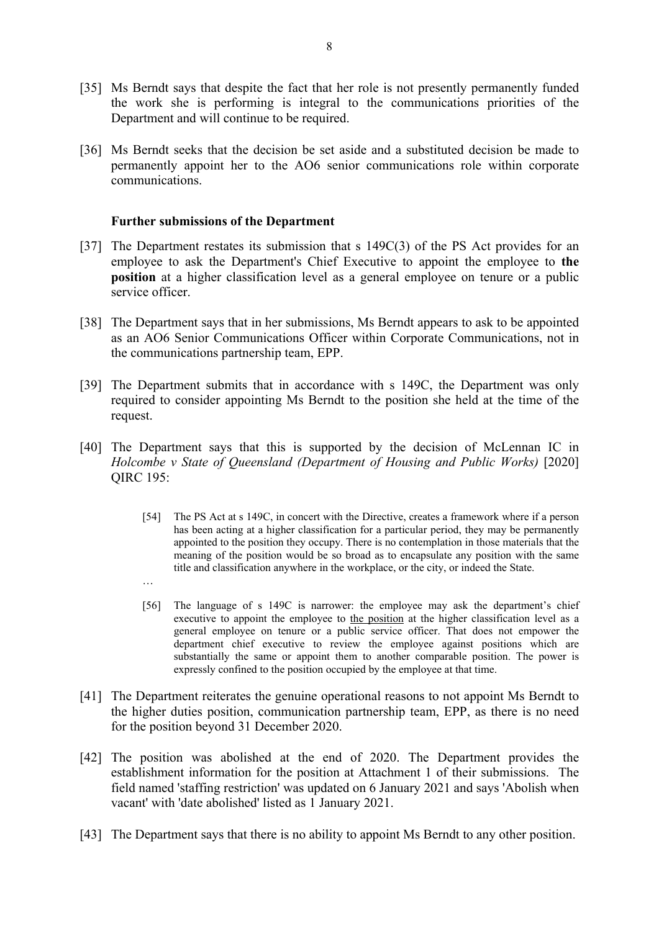- [35] Ms Berndt says that despite the fact that her role is not presently permanently funded the work she is performing is integral to the communications priorities of the Department and will continue to be required.
- [36] Ms Berndt seeks that the decision be set aside and a substituted decision be made to permanently appoint her to the AO6 senior communications role within corporate communications.

## **Further submissions of the Department**

…

- [37] The Department restates its submission that s 149C(3) of the PS Act provides for an employee to ask the Department's Chief Executive to appoint the employee to **the position** at a higher classification level as a general employee on tenure or a public service officer.
- [38] The Department says that in her submissions, Ms Berndt appears to ask to be appointed as an AO6 Senior Communications Officer within Corporate Communications, not in the communications partnership team, EPP.
- [39] The Department submits that in accordance with s 149C, the Department was only required to consider appointing Ms Berndt to the position she held at the time of the request.
- [40] The Department says that this is supported by the decision of McLennan IC in *Holcombe v State of Queensland (Department of Housing and Public Works)* [2020] QIRC 195:
	- [54] The PS Act at s 149C, in concert with the Directive, creates a framework where if a person has been acting at a higher classification for a particular period, they may be permanently appointed to the position they occupy. There is no contemplation in those materials that the meaning of the position would be so broad as to encapsulate any position with the same title and classification anywhere in the workplace, or the city, or indeed the State.
	- [56] The language of s 149C is narrower: the employee may ask the department's chief executive to appoint the employee to the position at the higher classification level as a general employee on tenure or a public service officer. That does not empower the department chief executive to review the employee against positions which are substantially the same or appoint them to another comparable position. The power is expressly confined to the position occupied by the employee at that time.
- [41] The Department reiterates the genuine operational reasons to not appoint Ms Berndt to the higher duties position, communication partnership team, EPP, as there is no need for the position beyond 31 December 2020.
- [42] The position was abolished at the end of 2020. The Department provides the establishment information for the position at Attachment 1 of their submissions. The field named 'staffing restriction' was updated on 6 January 2021 and says 'Abolish when vacant' with 'date abolished' listed as 1 January 2021.
- [43] The Department says that there is no ability to appoint Ms Berndt to any other position.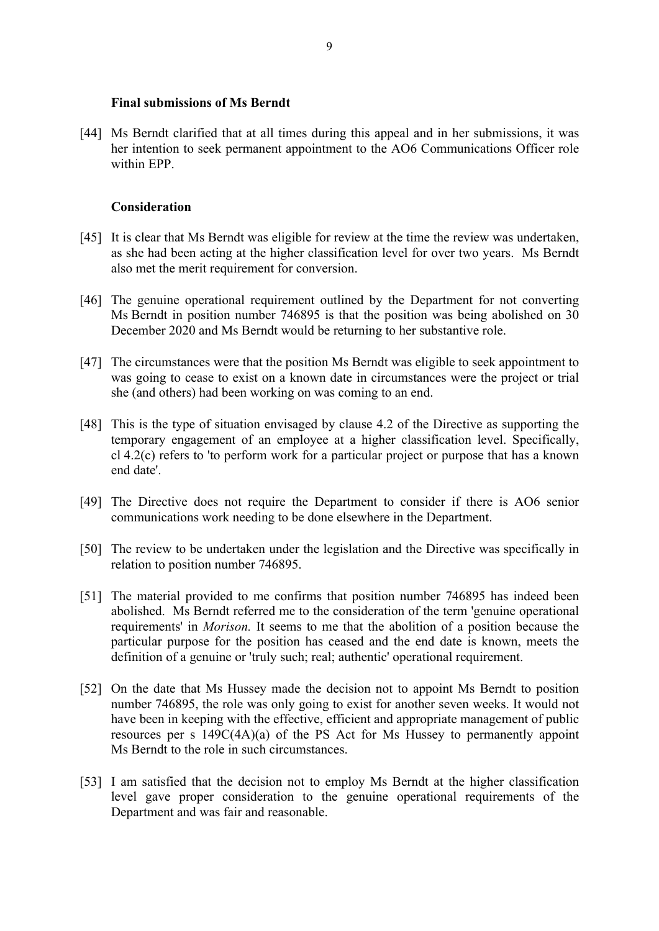## **Final submissions of Ms Berndt**

[44] Ms Berndt clarified that at all times during this appeal and in her submissions, it was her intention to seek permanent appointment to the AO6 Communications Officer role within EPP.

# **Consideration**

- [45] It is clear that Ms Berndt was eligible for review at the time the review was undertaken, as she had been acting at the higher classification level for over two years. Ms Berndt also met the merit requirement for conversion.
- [46] The genuine operational requirement outlined by the Department for not converting Ms Berndt in position number 746895 is that the position was being abolished on 30 December 2020 and Ms Berndt would be returning to her substantive role.
- [47] The circumstances were that the position Ms Berndt was eligible to seek appointment to was going to cease to exist on a known date in circumstances were the project or trial she (and others) had been working on was coming to an end.
- [48] This is the type of situation envisaged by clause 4.2 of the Directive as supporting the temporary engagement of an employee at a higher classification level. Specifically, cl 4.2(c) refers to 'to perform work for a particular project or purpose that has a known end date'.
- [49] The Directive does not require the Department to consider if there is AO6 senior communications work needing to be done elsewhere in the Department.
- [50] The review to be undertaken under the legislation and the Directive was specifically in relation to position number 746895.
- [51] The material provided to me confirms that position number 746895 has indeed been abolished. Ms Berndt referred me to the consideration of the term 'genuine operational requirements' in *Morison.* It seems to me that the abolition of a position because the particular purpose for the position has ceased and the end date is known, meets the definition of a genuine or 'truly such; real; authentic' operational requirement.
- [52] On the date that Ms Hussey made the decision not to appoint Ms Berndt to position number 746895, the role was only going to exist for another seven weeks. It would not have been in keeping with the effective, efficient and appropriate management of public resources per s 149C(4A)(a) of the PS Act for Ms Hussey to permanently appoint Ms Berndt to the role in such circumstances.
- [53] I am satisfied that the decision not to employ Ms Berndt at the higher classification level gave proper consideration to the genuine operational requirements of the Department and was fair and reasonable.